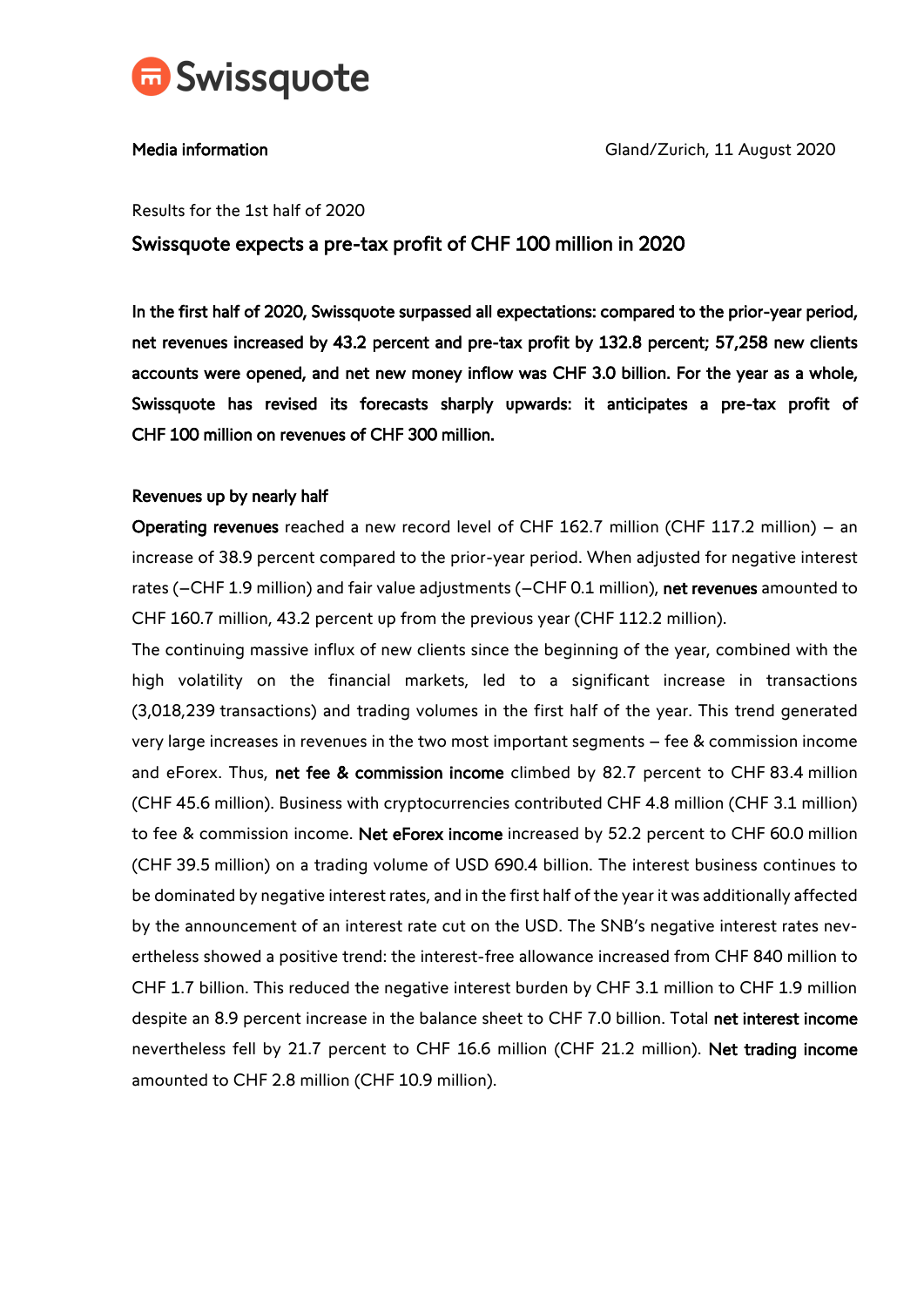

Media information Gland/Zurich, 11 August 2020

Results for the 1st half of 2020

# Swissquote expects a pre-tax profit of CHF 100 million in 2020

In the first half of 2020, Swissquote surpassed all expectations: compared to the prior-year period, net revenues increased by 43.2 percent and pre-tax profit by 132.8 percent; 57,258 new clients accounts were opened, and net new money inflow was CHF 3.0 billion. For the year as a whole, Swissquote has revised its forecasts sharply upwards: it anticipates a pre-tax profit of CHF 100 million on revenues of CHF 300 million.

### Revenues up by nearly half

Operating revenues reached a new record level of CHF 162.7 million (CHF 117.2 million) – an increase of 38.9 percent compared to the prior-year period. When adjusted for negative interest rates (-CHF 1.9 million) and fair value adjustments (-CHF 0.1 million), net revenues amounted to CHF 160.7 million, 43.2 percent up from the previous year (CHF 112.2 million).

The continuing massive influx of new clients since the beginning of the year, combined with the high volatility on the financial markets, led to a significant increase in transactions (3,018,239 transactions) and trading volumes in the first half of the year. This trend generated very large increases in revenues in the two most important segments – fee & commission income and eForex. Thus, net fee & commission income climbed by 82.7 percent to CHF 83.4 million (CHF 45.6 million). Business with cryptocurrencies contributed CHF 4.8 million (CHF 3.1 million) to fee & commission income. Net eForex income increased by 52.2 percent to CHF 60.0 million (CHF 39.5 million) on a trading volume of USD 690.4 billion. The interest business continues to be dominated by negative interest rates, and in the first half of the year it was additionally affected by the announcement of an interest rate cut on the USD. The SNB's negative interest rates nevertheless showed a positive trend: the interest-free allowance increased from CHF 840 million to CHF 1.7 billion. This reduced the negative interest burden by CHF 3.1 million to CHF 1.9 million despite an 8.9 percent increase in the balance sheet to CHF 7.0 billion. Total net interest income nevertheless fell by 21.7 percent to CHF 16.6 million (CHF 21.2 million). Net trading income amounted to CHF 2.8 million (CHF 10.9 million).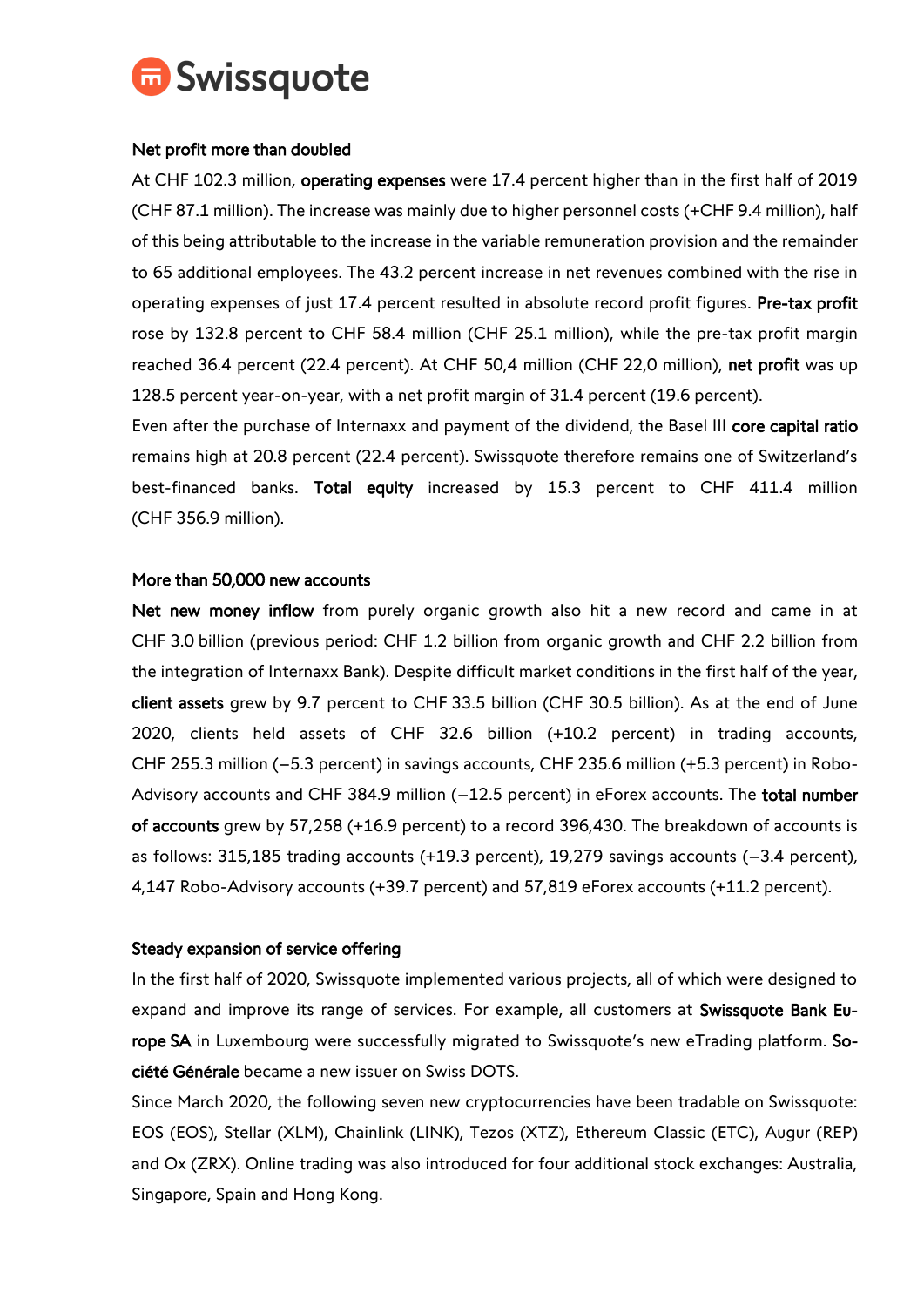

## Net profit more than doubled

At CHF 102.3 million, operating expenses were 17.4 percent higher than in the first half of 2019 (CHF 87.1 million). The increase was mainly due to higher personnel costs (+CHF 9.4 million), half of this being attributable to the increase in the variable remuneration provision and the remainder to 65 additional employees. The 43.2 percent increase in net revenues combined with the rise in operating expenses of just 17.4 percent resulted in absolute record profit figures. Pre-tax profit rose by 132.8 percent to CHF 58.4 million (CHF 25.1 million), while the pre-tax profit margin reached 36.4 percent (22.4 percent). At CHF 50,4 million (CHF 22,0 million), net profit was up 128.5 percent year-on-year, with a net profit margin of 31.4 percent (19.6 percent).

Even after the purchase of Internaxx and payment of the dividend, the Basel III core capital ratio remains high at 20.8 percent (22.4 percent). Swissquote therefore remains one of Switzerland's best-financed banks. Total equity increased by 15.3 percent to CHF 411.4 million (CHF 356.9 million).

## More than 50,000 new accounts

Net new money inflow from purely organic growth also hit a new record and came in at CHF 3.0 billion (previous period: CHF 1.2 billion from organic growth and CHF 2.2 billion from the integration of Internaxx Bank). Despite difficult market conditions in the first half of the year, client assets grew by 9.7 percent to CHF 33.5 billion (CHF 30.5 billion). As at the end of June 2020, clients held assets of CHF 32.6 billion (+10.2 percent) in trading accounts, CHF 255.3 million (–5.3 percent) in savings accounts, CHF 235.6 million (+5.3 percent) in Robo-Advisory accounts and CHF 384.9 million (-12.5 percent) in eForex accounts. The total number of accounts grew by 57,258 (+16.9 percent) to a record 396,430. The breakdown of accounts is as follows: 315,185 trading accounts (+19.3 percent), 19,279 savings accounts (–3.4 percent), 4,147 Robo-Advisory accounts (+39.7 percent) and 57,819 eForex accounts (+11.2 percent).

#### Steady expansion of service offering

In the first half of 2020, Swissquote implemented various projects, all of which were designed to expand and improve its range of services. For example, all customers at Swissquote Bank Europe SA in Luxembourg were successfully migrated to Swissquote's new eTrading platform. Société Générale became a new issuer on Swiss DOTS.

Since March 2020, the following seven new cryptocurrencies have been tradable on Swissquote: EOS (EOS), Stellar (XLM), Chainlink (LINK), Tezos (XTZ), Ethereum Classic (ETC), Augur (REP) and Ox (ZRX). Online trading was also introduced for four additional stock exchanges: Australia, Singapore, Spain and Hong Kong.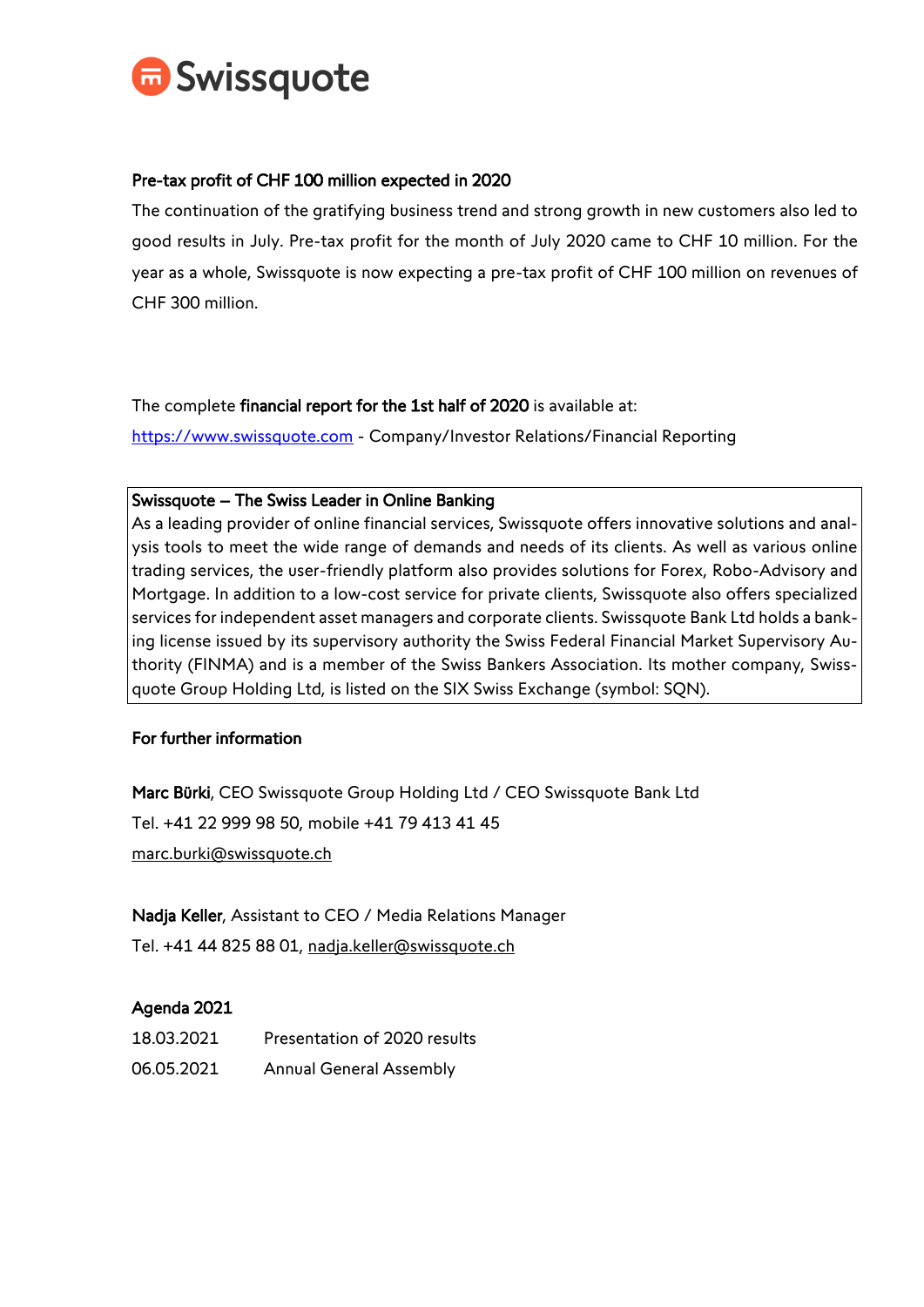

## Pre-tax profit of CHF 100 million expected in 2020

The continuation of the gratifying business trend and strong growth in new customers also led to good results in July. Pre-tax profit for the month of July 2020 came to CHF 10 million. For the year as a whole, Swissquote is now expecting a pre-tax profit of CHF 100 million on revenues of CHF 300 million.

The complete financial report for the 1st half of 2020 is available at:

[https://www.swissquote.com](https://www.swissquote.com/) - Company/Investor Relations/Financial Reporting

## Swissquote – The Swiss Leader in Online Banking

As a leading provider of online financial services, Swissquote offers innovative solutions and analysis tools to meet the wide range of demands and needs of its clients. As well as various online trading services, the user-friendly platform also provides solutions for Forex, Robo-Advisory and Mortgage. In addition to a low-cost service for private clients, Swissquote also offers specialized services for independent asset managers and corporate clients. Swissquote Bank Ltd holds a banking license issued by its supervisory authority the Swiss Federal Financial Market Supervisory Authority (FINMA) and is a member of the Swiss Bankers Association. Its mother company, Swissquote Group Holding Ltd, is listed on the SIX Swiss Exchange (symbol: SQN).

## For further information

Marc Bürki, CEO Swissquote Group Holding Ltd / CEO Swissquote Bank Ltd Tel. +41 22 999 98 50, mobile +41 79 413 41 45 marc.burki@swissquote.ch

Nadja Keller, Assistant to CEO / Media Relations Manager Tel. +41 44 825 88 01, nadja.keller@swissquote.ch

## Agenda 2021

18.03.2021 Presentation of 2020 results 06.05.2021 Annual General Assembly